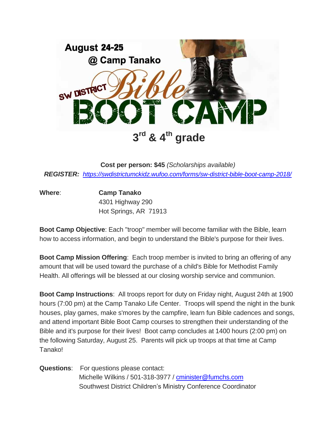

**Cost per person: \$45** *(Scholarships available) REGISTER: <https://swdistrictumckidz.wufoo.com/forms/sw-district-bible-boot-camp-2018/>*

**Where**: **Camp Tanako**

4301 Highway 290 Hot Springs, AR 71913

**Boot Camp Objective**: Each "troop" member will become familiar with the Bible, learn how to access information, and begin to understand the Bible's purpose for their lives.

**Boot Camp Mission Offering**: Each troop member is invited to bring an offering of any amount that will be used toward the purchase of a child's Bible for Methodist Family Health. All offerings will be blessed at our closing worship service and communion.

**Boot Camp Instructions**: All troops report for duty on Friday night, August 24th at 1900 hours (7:00 pm) at the Camp Tanako Life Center. Troops will spend the night in the bunk houses, play games, make s'mores by the campfire, learn fun Bible cadences and songs, and attend important Bible Boot Camp courses to strengthen their understanding of the Bible and it's purpose for their lives! Boot camp concludes at 1400 hours (2:00 pm) on the following Saturday, August 25. Parents will pick up troops at that time at Camp Tanako!

**Questions**: For questions please contact: Michelle Wilkins / 501-318-3977 / [cminister@fumchs.com](mailto:cminister@fumchs.com) Southwest District Children's Ministry Conference Coordinator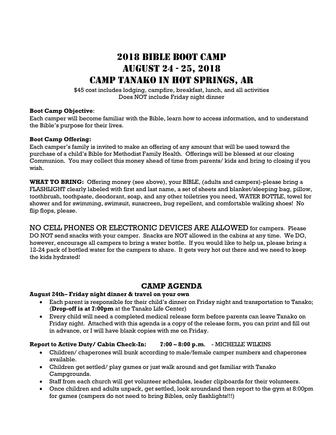## 2018 BIBLE BOOT CAMP August 24 - 25, 2018 Camp Tanako in Hot Springs, AR

\$45 cost includes lodging, campfire, breakfast, lunch, and all activities Does NOT include Friday night dinner

#### **Boot Camp Objective**:

Each camper will become familiar with the Bible, learn how to access information, and to understand the Bible's purpose for their lives.

#### **Boot Camp Offering:**

Each camper's family is invited to make an offering of any amount that will be used toward the purchase of a child's Bible for Methodist Family Health. Offerings will be blessed at our closing Communion. You may collect this money ahead of time from parents/ kids and bring to closing if you wish.

**WHAT TO BRING:** Offering money (see above), your BIBLE, (adults and campers)-please bring a FLASHLIGHT clearly labeled with first and last name, a set of sheets and blanket/sleeping bag, pillow, toothbrush, toothpaste, deodorant, soap, and any other toiletries you need, WATER BOTTLE, towel for shower and for swimming, swimsuit, sunscreen, bug repellent, and comfortable walking shoes! No flip flops, please.

NO CELL PHONES OR ELECTRONIC DEVICES ARE ALLOWED for campers. Please DO NOT send snacks with your camper. Snacks are NOT allowed in the cabins at any time. We DO, however, encourage all campers to bring a water bottle. If you would like to help us, please bring a 12-24 pack of bottled water for the campers to share. It gets very hot out there and we need to keep the kids hydrated!

### **CAMP AGENDA**

#### **August 24th– Friday night dinner & travel on your own**

- Each parent is responsible for their child's dinner on Friday night and transportation to Tanako; (**Drop-off is at 7:00pm** at the Tanako Life Center)
- Every child will need a completed medical release form before parents can leave Tanako on Friday night. Attached with this agenda is a copy of the release form, you can print and fill out in advance, or I will have blank copies with me on Friday.

#### **Report to Active Duty/ Cabin Check-In: 7:00 – 8:00 p.m**. - MICHELLE WILKINS

- Children/ chaperones will bunk according to male/female camper numbers and chaperones available.
- Children get settled/ play games or just walk around and get familiar with Tanako Campgrounds.
- Staff from each church will get volunteer schedules, leader clipboards for their volunteers.
- Once children and adults unpack, get settled, look aroundand then report to the gym at 8:00pm for games (campers do not need to bring Bibles, only flashlights!!!)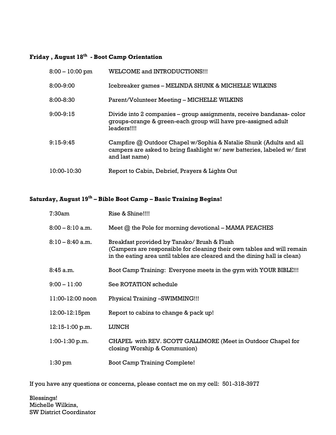#### **Friday , August 18th - Boot Camp Orientation**

| $8:00 - 10:00$ pm | <b>WELCOME and INTRODUCTIONS!!!</b>                                                                                                                              |
|-------------------|------------------------------------------------------------------------------------------------------------------------------------------------------------------|
| 8:00-9:00         | Icebreaker games - MELINDA SHUNK & MICHELLE WILKINS                                                                                                              |
| 8:00-8:30         | Parent/Volunteer Meeting - MICHELLE WILKINS                                                                                                                      |
| 9:00-9:15         | Divide into 2 companies – group assignments, receive bandanas-color<br>groups-orange & green-each group will have pre-assigned adult<br>leaders!!!!              |
| 9:15-9:45         | Campfire @ Outdoor Chapel w/Sophia & Natalie Shunk (Adults and all<br>campers are asked to bring flashlight w/ new batteries, labeled w/ first<br>and last name) |
| 10:00-10:30       | Report to Cabin, Debrief, Prayers & Lights Out                                                                                                                   |

#### **Saturday, August 19th – Bible Boot Camp – Basic Training Begins!**

| 7:30am           | Rise & Shine!!!!                                                                                                                                                                                   |  |  |  |  |
|------------------|----------------------------------------------------------------------------------------------------------------------------------------------------------------------------------------------------|--|--|--|--|
| 8:00 – 8:10 a.m. | Meet $@$ the Pole for morning devotional $-$ MAMA PEACHES                                                                                                                                          |  |  |  |  |
| 8:10 – 8:40 a.m. | Breakfast provided by Tanako/ Brush & Flush<br>(Campers are responsible for cleaning their own tables and will remain<br>in the eating area until tables are cleared and the dining hall is clean) |  |  |  |  |
| 8:45 a.m.        | Boot Camp Training: Everyone meets in the gym with YOUR BIBLE!!!                                                                                                                                   |  |  |  |  |
| $9:00 - 11:00$   | See ROTATION schedule                                                                                                                                                                              |  |  |  |  |
| 11:00-12:00 noon | Physical Training -SWIMMING!!!                                                                                                                                                                     |  |  |  |  |
| 12:00-12:15pm    | Report to cabins to change & pack up!                                                                                                                                                              |  |  |  |  |
| 12:15-1:00 p.m.  | <b>LUNCH</b>                                                                                                                                                                                       |  |  |  |  |
| $1:00-1:30$ p.m. | CHAPEL with REV. SCOTT GALLIMORE (Meet in Outdoor Chapel for<br>closing Worship & Communion)                                                                                                       |  |  |  |  |
| $1:30$ pm        | <b>Boot Camp Training Complete!</b>                                                                                                                                                                |  |  |  |  |

If you have any questions or concerns, please contact me on my cell: 501-318-3977

Blessings! Michelle Wilkins, SW District Coordinator